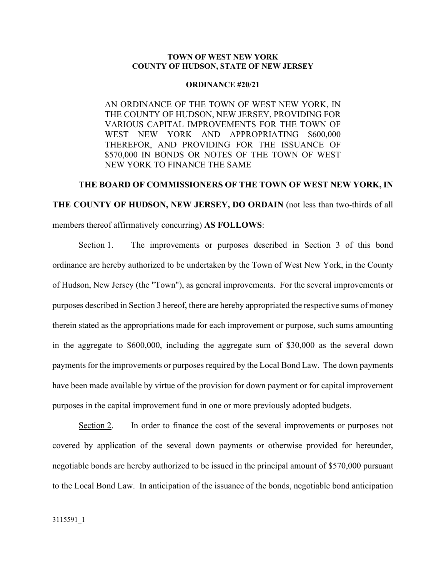## **TOWN OF WEST NEW YORK COUNTY OF HUDSON, STATE OF NEW JERSEY**

## **ORDINANCE #20/21**

AN ORDINANCE OF THE TOWN OF WEST NEW YORK, IN THE COUNTY OF HUDSON, NEW JERSEY, PROVIDING FOR VARIOUS CAPITAL IMPROVEMENTS FOR THE TOWN OF WEST NEW YORK AND APPROPRIATING \$600,000 THEREFOR, AND PROVIDING FOR THE ISSUANCE OF \$570,000 IN BONDS OR NOTES OF THE TOWN OF WEST NEW YORK TO FINANCE THE SAME

## **THE BOARD OF COMMISSIONERS OF THE TOWN OF WEST NEW YORK, IN THE COUNTY OF HUDSON, NEW JERSEY, DO ORDAIN** (not less than two-thirds of all members thereof affirmatively concurring) **AS FOLLOWS**:

Section 1. The improvements or purposes described in Section 3 of this bond ordinance are hereby authorized to be undertaken by the Town of West New York, in the County of Hudson, New Jersey (the "Town"), as general improvements. For the several improvements or purposes described in Section 3 hereof, there are hereby appropriated the respective sums of money therein stated as the appropriations made for each improvement or purpose, such sums amounting in the aggregate to \$600,000, including the aggregate sum of \$30,000 as the several down payments for the improvements or purposes required by the Local Bond Law. The down payments have been made available by virtue of the provision for down payment or for capital improvement purposes in the capital improvement fund in one or more previously adopted budgets.

Section 2. In order to finance the cost of the several improvements or purposes not covered by application of the several down payments or otherwise provided for hereunder, negotiable bonds are hereby authorized to be issued in the principal amount of \$570,000 pursuant to the Local Bond Law. In anticipation of the issuance of the bonds, negotiable bond anticipation

3115591\_1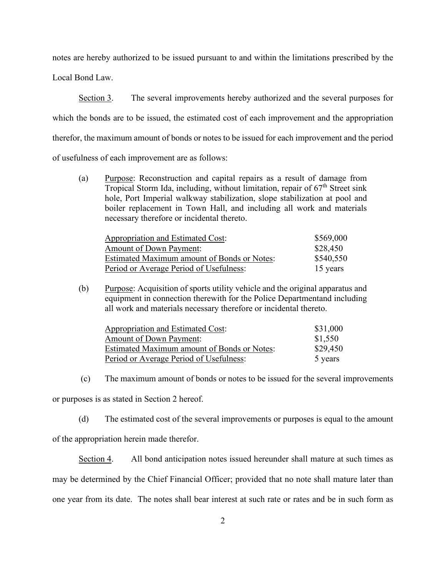notes are hereby authorized to be issued pursuant to and within the limitations prescribed by the

Local Bond Law.

Section 3. The several improvements hereby authorized and the several purposes for which the bonds are to be issued, the estimated cost of each improvement and the appropriation therefor, the maximum amount of bonds or notes to be issued for each improvement and the period of usefulness of each improvement are as follows:

(a) Purpose: Reconstruction and capital repairs as a result of damage from Tropical Storm Ida, including, without limitation, repair of  $67<sup>th</sup>$  Street sink hole, Port Imperial walkway stabilization, slope stabilization at pool and boiler replacement in Town Hall, and including all work and materials necessary therefore or incidental thereto.

| Appropriation and Estimated Cost:           | \$569,000 |
|---------------------------------------------|-----------|
| <b>Amount of Down Payment:</b>              | \$28,450  |
| Estimated Maximum amount of Bonds or Notes: | \$540,550 |
| Period or Average Period of Usefulness:     | 15 years  |

(b) Purpose: Acquisition of sports utility vehicle and the original apparatus and equipment in connection therewith for the Police Departmentand including all work and materials necessary therefore or incidental thereto.

| Appropriation and Estimated Cost:           | \$31,000 |
|---------------------------------------------|----------|
| <b>Amount of Down Payment:</b>              | \$1,550  |
| Estimated Maximum amount of Bonds or Notes: | \$29,450 |
| Period or Average Period of Usefulness:     | 5 years  |

(c) The maximum amount of bonds or notes to be issued for the several improvements

or purposes is as stated in Section 2 hereof.

(d) The estimated cost of the several improvements or purposes is equal to the amount of the appropriation herein made therefor.

Section 4. All bond anticipation notes issued hereunder shall mature at such times as may be determined by the Chief Financial Officer; provided that no note shall mature later than one year from its date. The notes shall bear interest at such rate or rates and be in such form as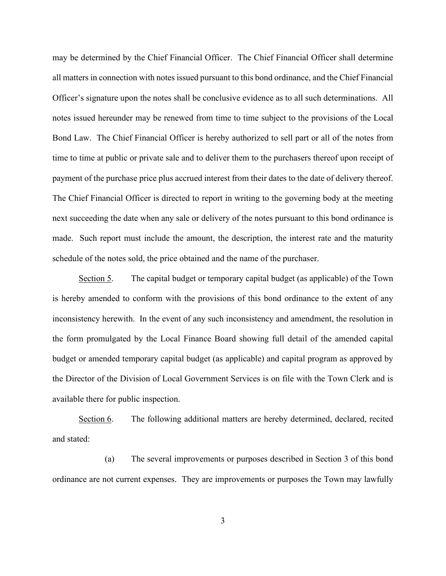may be determined by the Chief Financial Officer. The Chief Financial Officer shall determine all matters in connection with notes issued pursuant to this bond ordinance, and the Chief Financial Officer's signature upon the notes shall be conclusive evidence as to all such determinations. All notes issued hereunder may be renewed from time to time subject to the provisions of the Local Bond Law. The Chief Financial Officer is hereby authorized to sell part or all of the notes from time to time at public or private sale and to deliver them to the purchasers thereof upon receipt of payment of the purchase price plus accrued interest from their dates to the date of delivery thereof. The Chief Financial Officer is directed to report in writing to the governing body at the meeting next succeeding the date when any sale or delivery of the notes pursuant to this bond ordinance is made. Such report must include the amount, the description, the interest rate and the maturity schedule of the notes sold, the price obtained and the name of the purchaser.

Section 5. The capital budget or temporary capital budget (as applicable) of the Town is hereby amended to conform with the provisions of this bond ordinance to the extent of any inconsistency herewith. In the event of any such inconsistency and amendment, the resolution in the form promulgated by the Local Finance Board showing full detail of the amended capital budget or amended temporary capital budget (as applicable) and capital program as approved by the Director of the Division of Local Government Services is on file with the Town Clerk and is available there for public inspection.

Section 6. The following additional matters are hereby determined, declared, recited and stated:

(a) The several improvements or purposes described in Section 3 of this bond ordinance are not current expenses. They are improvements or purposes the Town may lawfully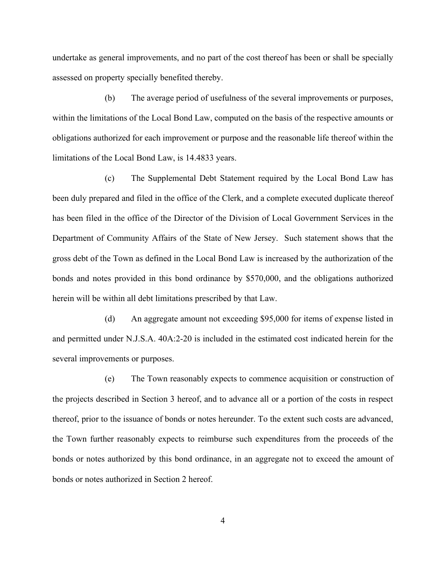undertake as general improvements, and no part of the cost thereof has been or shall be specially assessed on property specially benefited thereby.

(b) The average period of usefulness of the several improvements or purposes, within the limitations of the Local Bond Law, computed on the basis of the respective amounts or obligations authorized for each improvement or purpose and the reasonable life thereof within the limitations of the Local Bond Law, is 14.4833 years.

(c) The Supplemental Debt Statement required by the Local Bond Law has been duly prepared and filed in the office of the Clerk, and a complete executed duplicate thereof has been filed in the office of the Director of the Division of Local Government Services in the Department of Community Affairs of the State of New Jersey. Such statement shows that the gross debt of the Town as defined in the Local Bond Law is increased by the authorization of the bonds and notes provided in this bond ordinance by \$570,000, and the obligations authorized herein will be within all debt limitations prescribed by that Law.

(d) An aggregate amount not exceeding \$95,000 for items of expense listed in and permitted under N.J.S.A. 40A:2-20 is included in the estimated cost indicated herein for the several improvements or purposes.

(e) The Town reasonably expects to commence acquisition or construction of the projects described in Section 3 hereof, and to advance all or a portion of the costs in respect thereof, prior to the issuance of bonds or notes hereunder. To the extent such costs are advanced, the Town further reasonably expects to reimburse such expenditures from the proceeds of the bonds or notes authorized by this bond ordinance, in an aggregate not to exceed the amount of bonds or notes authorized in Section 2 hereof.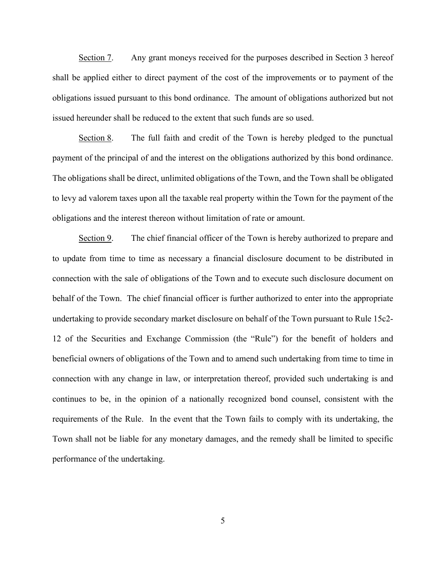Section 7. Any grant moneys received for the purposes described in Section 3 hereof shall be applied either to direct payment of the cost of the improvements or to payment of the obligations issued pursuant to this bond ordinance. The amount of obligations authorized but not issued hereunder shall be reduced to the extent that such funds are so used.

Section 8. The full faith and credit of the Town is hereby pledged to the punctual payment of the principal of and the interest on the obligations authorized by this bond ordinance. The obligations shall be direct, unlimited obligations of the Town, and the Town shall be obligated to levy ad valorem taxes upon all the taxable real property within the Town for the payment of the obligations and the interest thereon without limitation of rate or amount.

Section 9. The chief financial officer of the Town is hereby authorized to prepare and to update from time to time as necessary a financial disclosure document to be distributed in connection with the sale of obligations of the Town and to execute such disclosure document on behalf of the Town. The chief financial officer is further authorized to enter into the appropriate undertaking to provide secondary market disclosure on behalf of the Town pursuant to Rule 15c2- 12 of the Securities and Exchange Commission (the "Rule") for the benefit of holders and beneficial owners of obligations of the Town and to amend such undertaking from time to time in connection with any change in law, or interpretation thereof, provided such undertaking is and continues to be, in the opinion of a nationally recognized bond counsel, consistent with the requirements of the Rule. In the event that the Town fails to comply with its undertaking, the Town shall not be liable for any monetary damages, and the remedy shall be limited to specific performance of the undertaking.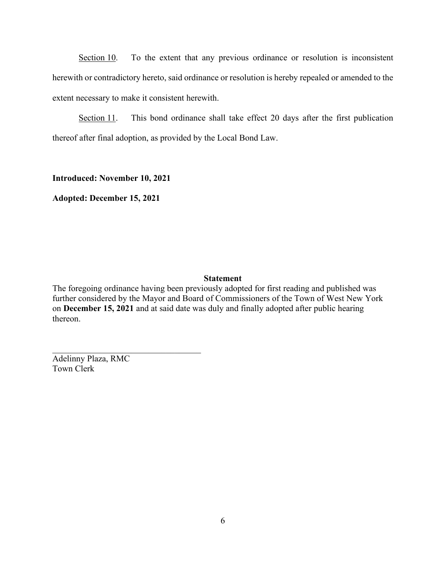Section 10. To the extent that any previous ordinance or resolution is inconsistent herewith or contradictory hereto, said ordinance or resolution is hereby repealed or amended to the extent necessary to make it consistent herewith.

Section 11. This bond ordinance shall take effect 20 days after the first publication thereof after final adoption, as provided by the Local Bond Law.

**Introduced: November 10, 2021**

**Adopted: December 15, 2021**

## **Statement**

The foregoing ordinance having been previously adopted for first reading and published was further considered by the Mayor and Board of Commissioners of the Town of West New York on **December 15, 2021** and at said date was duly and finally adopted after public hearing thereon.

Adelinny Plaza, RMC Town Clerk

 $\mathcal{L}_\mathcal{L}$  , which is a set of the set of the set of the set of the set of the set of the set of the set of the set of the set of the set of the set of the set of the set of the set of the set of the set of the set of